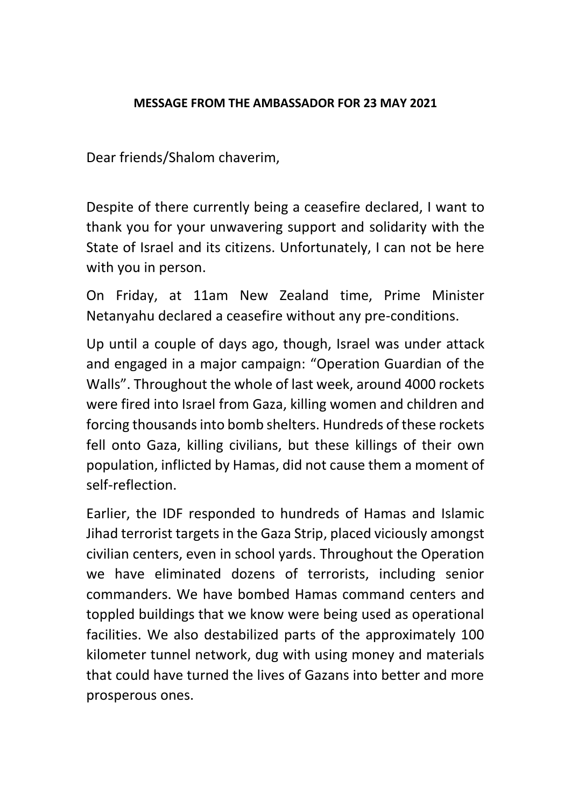## **MESSAGE FROM THE AMBASSADOR FOR 23 MAY 2021**

Dear friends/Shalom chaverim,

Despite of there currently being a ceasefire declared, I want to thank you for your unwavering support and solidarity with the State of Israel and its citizens. Unfortunately, I can not be here with you in person.

On Friday, at 11am New Zealand time, Prime Minister Netanyahu declared a ceasefire without any pre-conditions.

Up until a couple of days ago, though, Israel was under attack and engaged in a major campaign: "Operation Guardian of the Walls". Throughout the whole of last week, around 4000 rockets were fired into Israel from Gaza, killing women and children and forcing thousands into bomb shelters. Hundreds of these rockets fell onto Gaza, killing civilians, but these killings of their own population, inflicted by Hamas, did not cause them a moment of self-reflection.

Earlier, the IDF responded to hundreds of Hamas and Islamic Jihad terrorist targets in the Gaza Strip, placed viciously amongst civilian centers, even in school yards. Throughout the Operation we have eliminated dozens of terrorists, including senior commanders. We have bombed Hamas command centers and toppled buildings that we know were being used as operational facilities. We also destabilized parts of the approximately 100 kilometer tunnel network, dug with using money and materials that could have turned the lives of Gazans into better and more prosperous ones.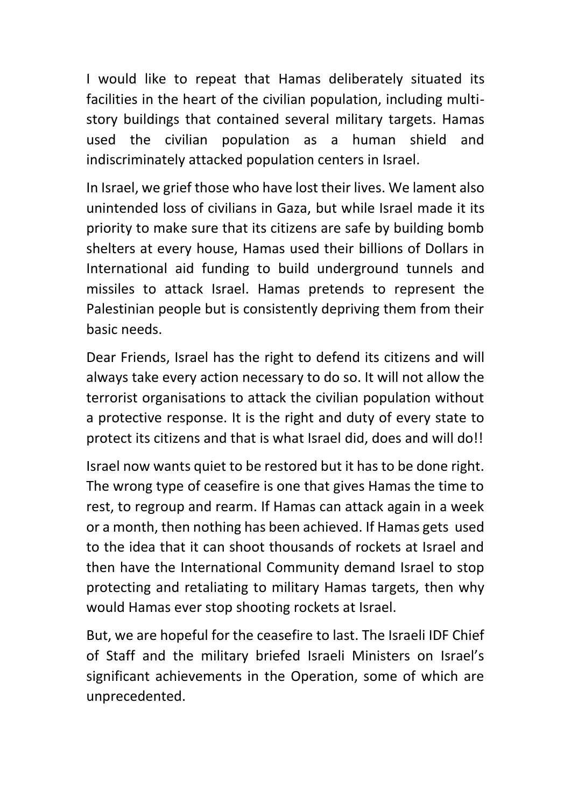I would like to repeat that Hamas deliberately situated its facilities in the heart of the civilian population, including multistory buildings that contained several military targets. Hamas used the civilian population as a human shield and indiscriminately attacked population centers in Israel.

In Israel, we grief those who have lost their lives. We lament also unintended loss of civilians in Gaza, but while Israel made it its priority to make sure that its citizens are safe by building bomb shelters at every house, Hamas used their billions of Dollars in International aid funding to build underground tunnels and missiles to attack Israel. Hamas pretends to represent the Palestinian people but is consistently depriving them from their basic needs.

Dear Friends, Israel has the right to defend its citizens and will always take every action necessary to do so. It will not allow the terrorist organisations to attack the civilian population without a protective response. It is the right and duty of every state to protect its citizens and that is what Israel did, does and will do!!

Israel now wants quiet to be restored but it has to be done right. The wrong type of ceasefire is one that gives Hamas the time to rest, to regroup and rearm. If Hamas can attack again in a week or a month, then nothing has been achieved. If Hamas gets used to the idea that it can shoot thousands of rockets at Israel and then have the International Community demand Israel to stop protecting and retaliating to military Hamas targets, then why would Hamas ever stop shooting rockets at Israel.

But, we are hopeful for the ceasefire to last. The Israeli IDF Chief of Staff and the military briefed Israeli Ministers on Israel's significant achievements in the Operation, some of which are unprecedented.